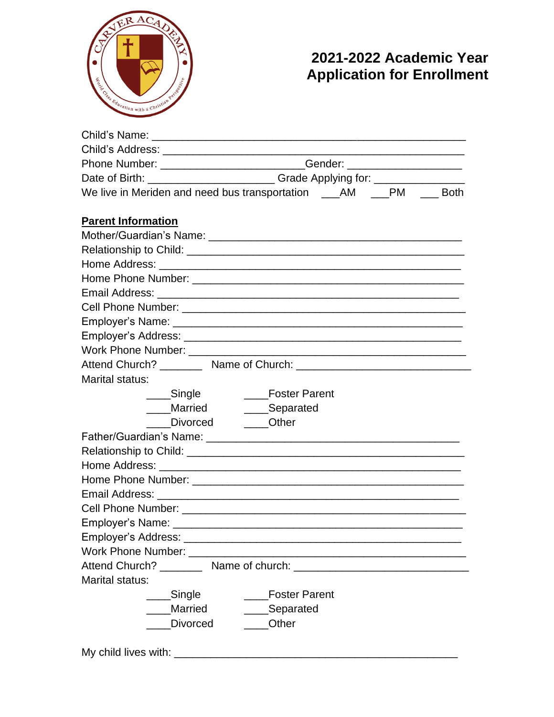

## **2021-2022 Academic Year Application for Enrollment**

| Phone Number: __________________________Gender: ________________________________                                                                                                                                               |                                                                                  |  |  |
|--------------------------------------------------------------------------------------------------------------------------------------------------------------------------------------------------------------------------------|----------------------------------------------------------------------------------|--|--|
|                                                                                                                                                                                                                                | Date of Birth: __________________________Grade Applying for: ___________________ |  |  |
| We live in Meriden and need bus transportation ____AM ____PM ____ Both                                                                                                                                                         |                                                                                  |  |  |
|                                                                                                                                                                                                                                |                                                                                  |  |  |
| <b>Parent Information</b>                                                                                                                                                                                                      |                                                                                  |  |  |
|                                                                                                                                                                                                                                |                                                                                  |  |  |
|                                                                                                                                                                                                                                |                                                                                  |  |  |
|                                                                                                                                                                                                                                |                                                                                  |  |  |
|                                                                                                                                                                                                                                |                                                                                  |  |  |
|                                                                                                                                                                                                                                |                                                                                  |  |  |
|                                                                                                                                                                                                                                |                                                                                  |  |  |
|                                                                                                                                                                                                                                |                                                                                  |  |  |
|                                                                                                                                                                                                                                |                                                                                  |  |  |
|                                                                                                                                                                                                                                |                                                                                  |  |  |
|                                                                                                                                                                                                                                |                                                                                  |  |  |
| Marital status:                                                                                                                                                                                                                |                                                                                  |  |  |
| ___Single                                                                                                                                                                                                                      | ____Foster Parent                                                                |  |  |
|                                                                                                                                                                                                                                | ____Married ________Separated                                                    |  |  |
|                                                                                                                                                                                                                                | Divorced <b>Other</b>                                                            |  |  |
|                                                                                                                                                                                                                                |                                                                                  |  |  |
|                                                                                                                                                                                                                                |                                                                                  |  |  |
|                                                                                                                                                                                                                                |                                                                                  |  |  |
| Home Phone Number: National Account of the Phone Number of the Account of the Account of the Account of the Account of the Account of the Account of the Account of the Account of the Account of the Account of the Account o |                                                                                  |  |  |
|                                                                                                                                                                                                                                |                                                                                  |  |  |
|                                                                                                                                                                                                                                |                                                                                  |  |  |
|                                                                                                                                                                                                                                |                                                                                  |  |  |
|                                                                                                                                                                                                                                |                                                                                  |  |  |
|                                                                                                                                                                                                                                |                                                                                  |  |  |
|                                                                                                                                                                                                                                |                                                                                  |  |  |
| Marital status:                                                                                                                                                                                                                |                                                                                  |  |  |
| Single                                                                                                                                                                                                                         | <b>Foster Parent</b>                                                             |  |  |
| Married                                                                                                                                                                                                                        | ____Separated                                                                    |  |  |
| Divorced                                                                                                                                                                                                                       | <b>Other</b>                                                                     |  |  |
|                                                                                                                                                                                                                                |                                                                                  |  |  |
|                                                                                                                                                                                                                                |                                                                                  |  |  |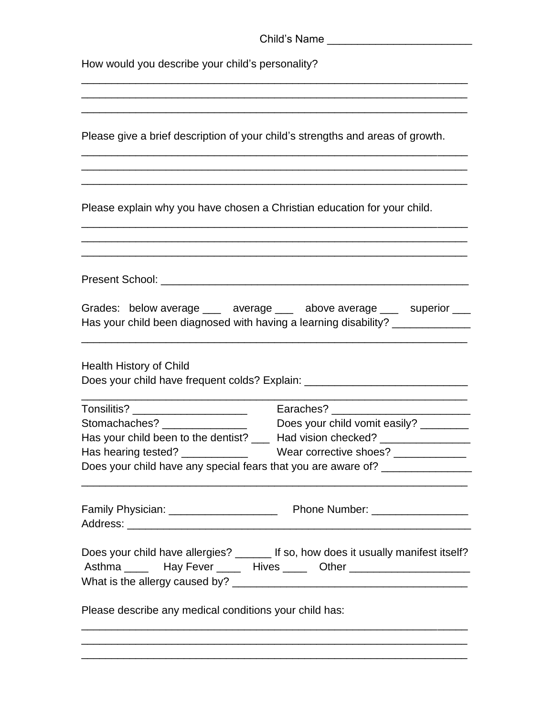| Child's Name<br>How would you describe your child's personality?               |                                                                                                                                                                                                          |  |
|--------------------------------------------------------------------------------|----------------------------------------------------------------------------------------------------------------------------------------------------------------------------------------------------------|--|
|                                                                                |                                                                                                                                                                                                          |  |
| Please give a brief description of your child's strengths and areas of growth. |                                                                                                                                                                                                          |  |
| Please explain why you have chosen a Christian education for your child.       |                                                                                                                                                                                                          |  |
|                                                                                |                                                                                                                                                                                                          |  |
|                                                                                | Grades: below average ___ average ___ above average ___ superior ___<br>Has your child been diagnosed with having a learning disability? _______________                                                 |  |
| <b>Health History of Child</b>                                                 | Does your child have frequent colds? Explain: __________________________________                                                                                                                         |  |
| Tonsilitis? _______________________                                            |                                                                                                                                                                                                          |  |
| Stomachaches? ________________                                                 | Does your child vomit easily? ________                                                                                                                                                                   |  |
|                                                                                | Has your child been to the dentist? ___ Had vision checked? ________________                                                                                                                             |  |
|                                                                                |                                                                                                                                                                                                          |  |
|                                                                                | Does your child have any special fears that you are aware of? __________________<br><u> 1989 - Andrea Santa Andrea Andrea Andrea Andrea Andrea Andrea Andrea Andrea Andrea Andrea Andrea Andrea Andr</u> |  |
|                                                                                |                                                                                                                                                                                                          |  |
|                                                                                | Does your child have allergies? ______ If so, how does it usually manifest itself?<br>Asthma __________ Hay Fever _________ Hives ________ Other _____________________                                   |  |
| Please describe any medical conditions your child has:                         |                                                                                                                                                                                                          |  |

\_\_\_\_\_\_\_\_\_\_\_\_\_\_\_\_\_\_\_\_\_\_\_\_\_\_\_\_\_\_\_\_\_\_\_\_\_\_\_\_\_\_\_\_\_\_\_\_\_\_\_\_\_\_\_\_\_\_\_\_\_\_\_\_ \_\_\_\_\_\_\_\_\_\_\_\_\_\_\_\_\_\_\_\_\_\_\_\_\_\_\_\_\_\_\_\_\_\_\_\_\_\_\_\_\_\_\_\_\_\_\_\_\_\_\_\_\_\_\_\_\_\_\_\_\_\_\_\_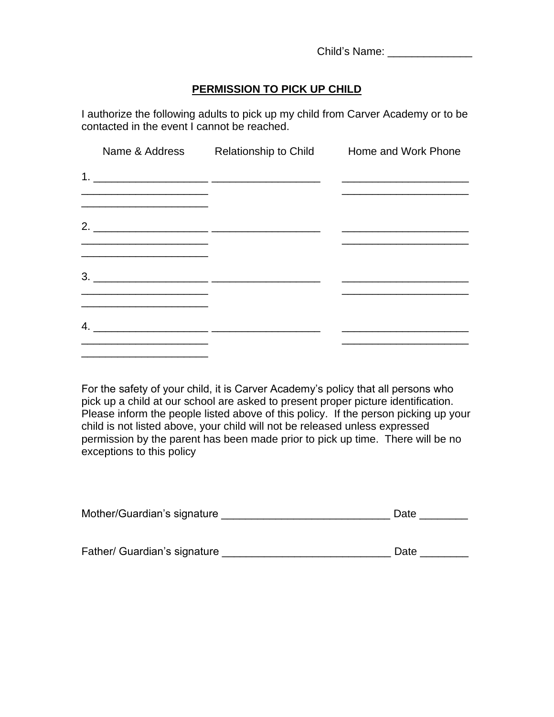Child's Name: \_\_\_\_\_\_\_\_\_\_\_\_\_\_

#### **PERMISSION TO PICK UP CHILD**

I authorize the following adults to pick up my child from Carver Academy or to be contacted in the event I cannot be reached.

|                                                                                                                        | Name & Address Relationship to Child Home and Work Phone |  |
|------------------------------------------------------------------------------------------------------------------------|----------------------------------------------------------|--|
|                                                                                                                        |                                                          |  |
|                                                                                                                        |                                                          |  |
| 2. $\overline{\phantom{a}}$                                                                                            |                                                          |  |
|                                                                                                                        |                                                          |  |
|                                                                                                                        |                                                          |  |
| <u> 1989 - Johann Harry Harry Harry Harry Harry Harry Harry Harry Harry Harry Harry Harry Harry Harry Harry Harry</u>  |                                                          |  |
| <u> 1980 - Johann John Stone, markin film yn y brening yn y brening yn y brening yn y brening yn y brening y breni</u> |                                                          |  |
|                                                                                                                        |                                                          |  |

For the safety of your child, it is Carver Academy's policy that all persons who pick up a child at our school are asked to present proper picture identification. Please inform the people listed above of this policy. If the person picking up your child is not listed above, your child will not be released unless expressed permission by the parent has been made prior to pick up time. There will be no exceptions to this policy

| Mother/Guardian's signature  | Date |  |
|------------------------------|------|--|
|                              |      |  |
| Father/ Guardian's signature | Date |  |
|                              |      |  |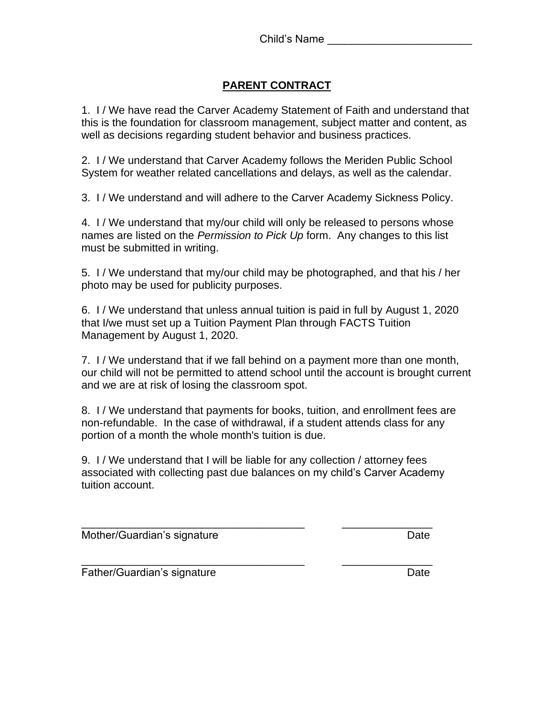#### **PARENT CONTRACT**

1. I / We have read the Carver Academy Statement of Faith and understand that this is the foundation for classroom management, subject matter and content, as well as decisions regarding student behavior and business practices.

2. I / We understand that Carver Academy follows the Meriden Public School System for weather related cancellations and delays, as well as the calendar.

3. I / We understand and will adhere to the Carver Academy Sickness Policy.

4. I / We understand that my/our child will only be released to persons whose names are listed on the *Permission to Pick Up* form. Any changes to this list must be submitted in writing.

5. I / We understand that my/our child may be photographed, and that his / her photo may be used for publicity purposes.

6. I / We understand that unless annual tuition is paid in full by August 1, 2020 that I/we must set up a Tuition Payment Plan through FACTS Tuition Management by August 1, 2020.

7. I / We understand that if we fall behind on a payment more than one month, our child will not be permitted to attend school until the account is brought current and we are at risk of losing the classroom spot.

8. I / We understand that payments for books, tuition, and enrollment fees are non-refundable. In the case of withdrawal, if a student attends class for any portion of a month the whole month's tuition is due.

9. I / We understand that I will be liable for any collection / attorney fees associated with collecting past due balances on my child's Carver Academy tuition account.

\_\_\_\_\_\_\_\_\_\_\_\_\_\_\_\_\_\_\_\_\_\_\_\_\_\_\_\_\_\_\_\_\_\_\_\_\_ \_\_\_\_\_\_\_\_\_\_\_\_\_\_\_

\_\_\_\_\_\_\_\_\_\_\_\_\_\_\_\_\_\_\_\_\_\_\_\_\_\_\_\_\_\_\_\_\_\_\_\_\_ \_\_\_\_\_\_\_\_\_\_\_\_\_\_\_

Mother/Guardian's signature Date Date

Father/Guardian's signature development of the Date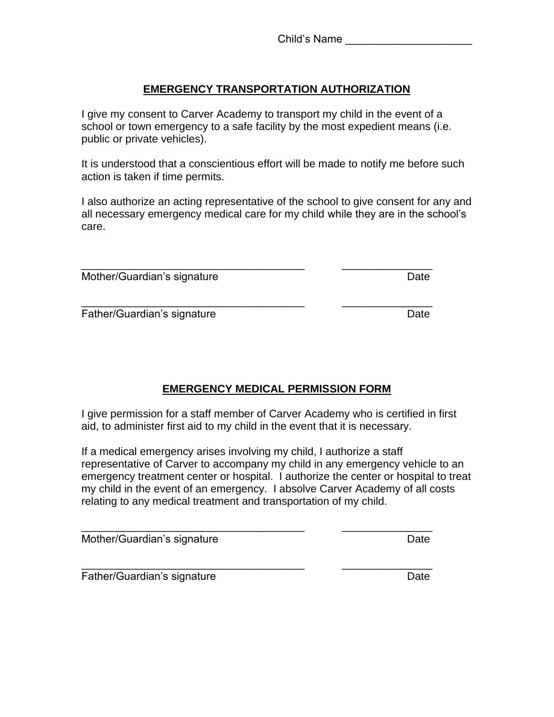#### **EMERGENCY TRANSPORTATION AUTHORIZATION**

I give my consent to Carver Academy to transport my child in the event of a school or town emergency to a safe facility by the most expedient means (i.e. public or private vehicles).

It is understood that a conscientious effort will be made to notify me before such action is taken if time permits.

I also authorize an acting representative of the school to give consent for any and all necessary emergency medical care for my child while they are in the school's care.

| Mother/Guardian's signature | Date |
|-----------------------------|------|

\_\_\_\_\_\_\_\_\_\_\_\_\_\_\_\_\_\_\_\_\_\_\_\_\_\_\_\_\_\_\_\_\_\_\_\_\_ \_\_\_\_\_\_\_\_\_\_\_\_\_\_\_ Father/Guardian's signature development of the Date

### **EMERGENCY MEDICAL PERMISSION FORM**

I give permission for a staff member of Carver Academy who is certified in first aid, to administer first aid to my child in the event that it is necessary.

If a medical emergency arises involving my child, I authorize a staff representative of Carver to accompany my child in any emergency vehicle to an emergency treatment center or hospital. I authorize the center or hospital to treat my child in the event of an emergency. I absolve Carver Academy of all costs relating to any medical treatment and transportation of my child.

\_\_\_\_\_\_\_\_\_\_\_\_\_\_\_\_\_\_\_\_\_\_\_\_\_\_\_\_\_\_\_\_\_\_\_\_\_ \_\_\_\_\_\_\_\_\_\_\_\_\_\_\_

Mother/Guardian's signature development of the Date

\_\_\_\_\_\_\_\_\_\_\_\_\_\_\_\_\_\_\_\_\_\_\_\_\_\_\_\_\_\_\_\_\_\_\_\_\_ \_\_\_\_\_\_\_\_\_\_\_\_\_\_\_ Father/Guardian's signature development of the Date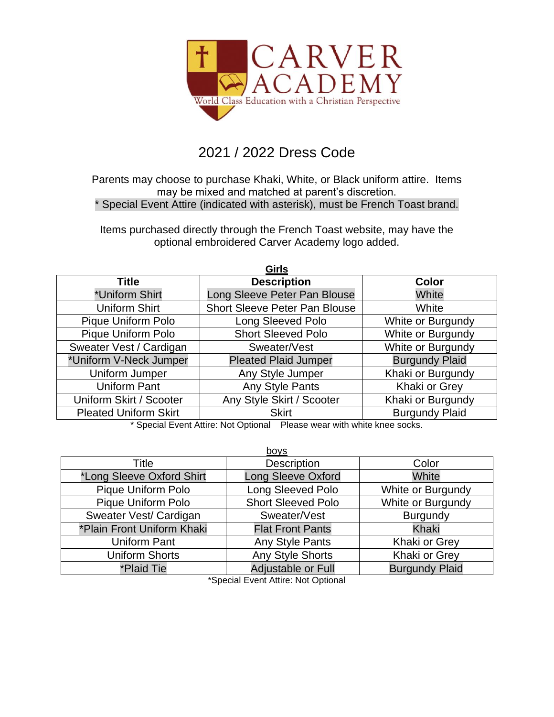

## 2021 / 2022 Dress Code

Parents may choose to purchase Khaki, White, or Black uniform attire. Items may be mixed and matched at parent's discretion. \* Special Event Attire (indicated with asterisk), must be French Toast brand.

Items purchased directly through the French Toast website, may have the optional embroidered Carver Academy logo added.

| <b>Girls</b>                 |                                      |                       |
|------------------------------|--------------------------------------|-----------------------|
| Title                        | <b>Description</b>                   | <b>Color</b>          |
| *Uniform Shirt               | Long Sleeve Peter Pan Blouse         | White                 |
| Uniform Shirt                | <b>Short Sleeve Peter Pan Blouse</b> | White                 |
| <b>Pique Uniform Polo</b>    | <b>Long Sleeved Polo</b>             | White or Burgundy     |
| <b>Pique Uniform Polo</b>    | <b>Short Sleeved Polo</b>            | White or Burgundy     |
| Sweater Vest / Cardigan      | Sweater/Vest                         | White or Burgundy     |
| *Uniform V-Neck Jumper       | <b>Pleated Plaid Jumper</b>          | <b>Burgundy Plaid</b> |
| Uniform Jumper               | Any Style Jumper                     | Khaki or Burgundy     |
| <b>Uniform Pant</b>          | Any Style Pants                      | Khaki or Grey         |
| Uniform Skirt / Scooter      | Any Style Skirt / Scooter            | Khaki or Burgundy     |
| <b>Pleated Uniform Skirt</b> | <b>Skirt</b>                         | <b>Burgundy Plaid</b> |
| .                            |                                      | .                     |

\* Special Event Attire: Not Optional Please wear with white knee socks.

| boys                       |                           |                       |
|----------------------------|---------------------------|-----------------------|
| Title                      | <b>Description</b>        | Color                 |
| *Long Sleeve Oxford Shirt  | <b>Long Sleeve Oxford</b> | White                 |
| Pique Uniform Polo         | Long Sleeved Polo         | White or Burgundy     |
| Pique Uniform Polo         | <b>Short Sleeved Polo</b> | White or Burgundy     |
| Sweater Vest/ Cardigan     | Sweater/Vest              | <b>Burgundy</b>       |
| *Plain Front Uniform Khaki | <b>Flat Front Pants</b>   | Khaki                 |
| <b>Uniform Pant</b>        | Any Style Pants           | Khaki or Grey         |
| <b>Uniform Shorts</b>      | <b>Any Style Shorts</b>   | Khaki or Grey         |
| *Plaid Tie                 | Adjustable or Full        | <b>Burgundy Plaid</b> |

\*Special Event Attire: Not Optional